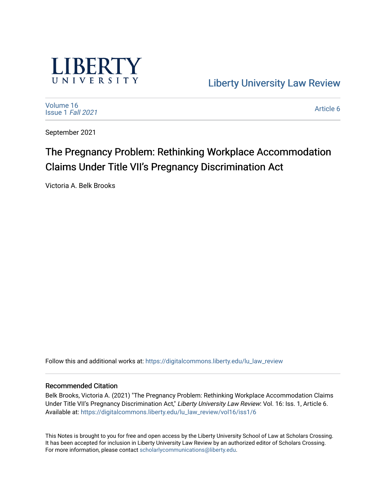

[Liberty University Law Review](https://digitalcommons.liberty.edu/lu_law_review) 

[Volume 16](https://digitalcommons.liberty.edu/lu_law_review/vol16) [Issue 1](https://digitalcommons.liberty.edu/lu_law_review/vol16/iss1) Fall 2021

[Article 6](https://digitalcommons.liberty.edu/lu_law_review/vol16/iss1/6) 

September 2021

# The Pregnancy Problem: Rethinking Workplace Accommodation Claims Under Title VII's Pregnancy Discrimination Act

Victoria A. Belk Brooks

Follow this and additional works at: [https://digitalcommons.liberty.edu/lu\\_law\\_review](https://digitalcommons.liberty.edu/lu_law_review?utm_source=digitalcommons.liberty.edu%2Flu_law_review%2Fvol16%2Fiss1%2F6&utm_medium=PDF&utm_campaign=PDFCoverPages) 

#### Recommended Citation

Belk Brooks, Victoria A. (2021) "The Pregnancy Problem: Rethinking Workplace Accommodation Claims Under Title VII's Pregnancy Discrimination Act," Liberty University Law Review: Vol. 16: Iss. 1, Article 6. Available at: [https://digitalcommons.liberty.edu/lu\\_law\\_review/vol16/iss1/6](https://digitalcommons.liberty.edu/lu_law_review/vol16/iss1/6?utm_source=digitalcommons.liberty.edu%2Flu_law_review%2Fvol16%2Fiss1%2F6&utm_medium=PDF&utm_campaign=PDFCoverPages) 

This Notes is brought to you for free and open access by the Liberty University School of Law at Scholars Crossing. It has been accepted for inclusion in Liberty University Law Review by an authorized editor of Scholars Crossing. For more information, please contact [scholarlycommunications@liberty.edu](mailto:scholarlycommunications@liberty.edu).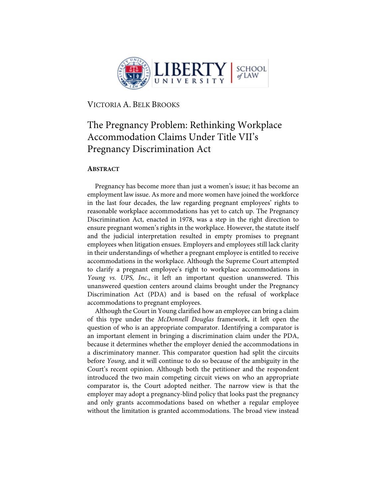

VICTORIA A. BELK BROOKS

# The Pregnancy Problem: Rethinking Workplace Accommodation Claims Under Title VII's Pregnancy Discrimination Act

## **ABSTRACT**

Pregnancy has become more than just a women's issue; it has become an employment law issue. As more and more women have joined the workforce in the last four decades, the law regarding pregnant employees' rights to reasonable workplace accommodations has yet to catch up. The Pregnancy Discrimination Act, enacted in 1978, was a step in the right direction to ensure pregnant women's rights in the workplace. However, the statute itself and the judicial interpretation resulted in empty promises to pregnant employees when litigation ensues. Employers and employees still lack clarity in their understandings of whether a pregnant employee is entitled to receive accommodations in the workplace. Although the Supreme Court attempted to clarify a pregnant employee's right to workplace accommodations in *Young vs. UPS, Inc*., it left an important question unanswered. This unanswered question centers around claims brought under the Pregnancy Discrimination Act (PDA) and is based on the refusal of workplace accommodations to pregnant employees.

Although the Court in Young clarified how an employee can bring a claim of this type under the *McDonnell Douglas* framework, it left open the question of who is an appropriate comparator. Identifying a comparator is an important element in bringing a discrimination claim under the PDA, because it determines whether the employer denied the accommodations in a discriminatory manner. This comparator question had split the circuits before *Young*, and it will continue to do so because of the ambiguity in the Court's recent opinion. Although both the petitioner and the respondent introduced the two main competing circuit views on who an appropriate comparator is, the Court adopted neither. The narrow view is that the employer may adopt a pregnancy-blind policy that looks past the pregnancy and only grants accommodations based on whether a regular employee without the limitation is granted accommodations. The broad view instead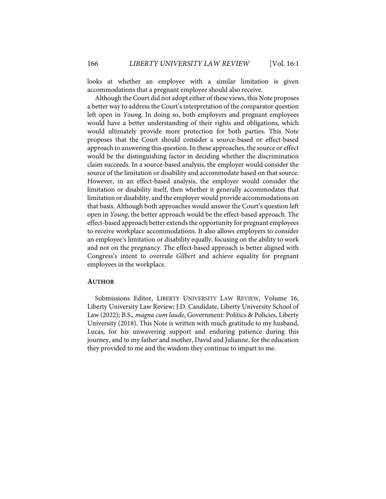looks at whether an employee with a similar limitation is given accommodations that a pregnant employee should also receive.

Although the Court did not adopt either of these views, this Note proposes a better way to address the Court's interpretation of the comparator question left open in *Youn*g. In doing so, both employers and pregnant employees would have a better understanding of their rights and obligations, which would ultimately provide more protection for both parties. This Note proposes that the Court should consider a source-based or effect-based approach to answering this question. In these approaches, the source or effect would be the distinguishing factor in deciding whether the discrimination claim succeeds. In a source-based analysis, the employer would consider the source of the limitation or disability and accommodate based on that source. However, in an effect-based analysis, the employer would consider the limitation or disability itself, then whether it generally accommodates that limitation or disability, and the employer would provide accommodations on that basis. Although both approaches would answer the Court's question left open in *Young*, the better approach would be the effect-based approach. The effect-based approach better extends the opportunity for pregnant employees to receive workplace accommodations. It also allows employers to consider an employee's limitation or disability equally, focusing on the ability to work and not on the pregnancy. The effect-based approach is better aligned with Congress's intent to overrule *Gilbert* and achieve equality for pregnant employees in the workplace.

#### **AUTHOR**

Submissions Editor, LIBERTY UNIVERSITY LAW REVIEW, Volume 16, Liberty University Law Review; J.D. Candidate, Liberty University School of Law (2022); B.S.*, magna cum laude*, Government: Politics & Policies, Liberty University (2018). This Note is written with much gratitude to my husband, Lucas, for his unwavering support and enduring patience during this journey, and to my father and mother, David and Julianne, for the education they provided to me and the wisdom they continue to impart to me.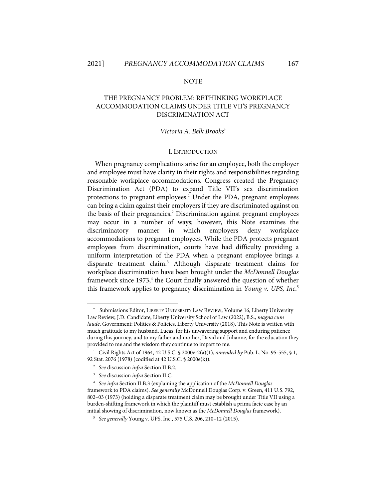#### NOTE

# THE PREGNANCY PROBLEM: RETHINKING WORKPLACE ACCOMMODATION CLAIMS UNDER TITLE VII'S PREGNANCY DISCRIMINATION ACT

#### *Victoria A. Belk Brooks*†

#### I. INTRODUCTION

When pregnancy complications arise for an employee, both the employer and employee must have clarity in their rights and responsibilities regarding reasonable workplace accommodations. Congress created the Pregnancy Discrimination Act (PDA) to expand Title VII's sex discrimination protections to pregnant employees. <sup>1</sup> Under the PDA, pregnant employees can bring a claim against their employers if they are discriminated against on the basis of their pregnancies. <sup>2</sup> Discrimination against pregnant employees may occur in a number of ways; however, this Note examines the discriminatory manner in which employers deny workplace accommodations to pregnant employees. While the PDA protects pregnant employees from discrimination, courts have had difficulty providing a uniform interpretation of the PDA when a pregnant employee brings a disparate treatment claim.3 Although disparate treatment claims for workplace discrimination have been brought under the *McDonnell Douglas* framework since 1973,<sup>4</sup> the Court finally answered the question of whether this framework applies to pregnancy discrimination in *Young v. UPS, Inc*. 5

<sup>†</sup> Submissions Editor, LIBERTY UNIVERSITY LAW REVIEW, Volume 16, Liberty University Law Review; J.D. Candidate, Liberty University School of Law (2022); B.S.*, magna cum laude*, Government: Politics & Policies, Liberty University (2018). This Note is written with much gratitude to my husband, Lucas, for his unwavering support and enduring patience during this journey, and to my father and mother, David and Julianne, for the education they provided to me and the wisdom they continue to impart to me.

<sup>1</sup> Civil Rights Act of 1964, 42 U.S.C. § 2000e-2(a)(1), *amended by* Pub. L. No. 95-555, § 1, 92 Stat. 2076 (1978) (codified at 42 U.S.C. § 2000e(k)).

<sup>2</sup> *See* discussion *infra* Section II.B.2.

<sup>3</sup> *See* discussion *infra* Section II.C.

<sup>4</sup> *See infra* Section II.B.3 (explaining the application of the *McDonnell Douglas*  framework to PDA claims). *See generally* McDonnell Douglas Corp. v. Green, 411 U.S. 792, 802–03 (1973) (holding a disparate treatment claim may be brought under Title VII using a burden-shifting framework in which the plaintiff must establish a prima facie case by an initial showing of discrimination, now known as the *McDonnell Douglas* framework).

<sup>5</sup> *See generally* Young v. UPS, Inc., 575 U.S. 206, 210–12 (2015).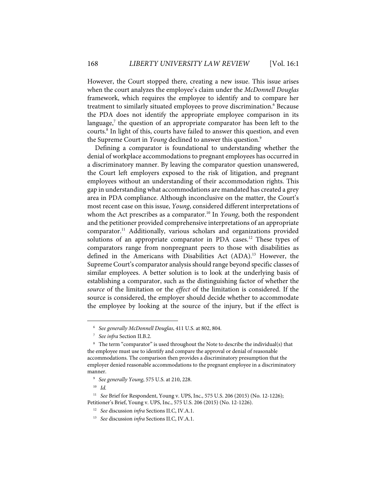However, the Court stopped there, creating a new issue. This issue arises when the court analyzes the employee's claim under the *McDonnell Douglas* framework, which requires the employee to identify and to compare her treatment to similarly situated employees to prove discrimination.<sup>6</sup> Because the PDA does not identify the appropriate employee comparison in its language, $7$  the question of an appropriate comparator has been left to the courts.<sup>8</sup> In light of this, courts have failed to answer this question, and even the Supreme Court in *Young* declined to answer this question.9

Defining a comparator is foundational to understanding whether the denial of workplace accommodations to pregnant employees has occurred in a discriminatory manner. By leaving the comparator question unanswered, the Court left employers exposed to the risk of litigation, and pregnant employees without an understanding of their accommodation rights. This gap in understanding what accommodations are mandated has created a grey area in PDA compliance. Although inconclusive on the matter, the Court's most recent case on this issue, *Young*, considered different interpretations of whom the Act prescribes as a comparator.<sup>10</sup> In *Young*, both the respondent and the petitioner provided comprehensive interpretations of an appropriate comparator.11 Additionally, various scholars and organizations provided solutions of an appropriate comparator in PDA cases.<sup>12</sup> These types of comparators range from nonpregnant peers to those with disabilities as defined in the Americans with Disabilities Act (ADA). <sup>13</sup> However, the Supreme Court's comparator analysis should range beyond specific classes of similar employees. A better solution is to look at the underlying basis of establishing a comparator, such as the distinguishing factor of whether the *source* of the limitation or the *effect* of the limitation is considered. If the source is considered, the employer should decide whether to accommodate the employee by looking at the source of the injury, but if the effect is

<sup>6</sup> *See generally McDonnell Douglas*, 411 U.S. at 802, 804.

<sup>7</sup> *See infra* Section II.B.2.

<sup>&</sup>lt;sup>8</sup> The term "comparator" is used throughout the Note to describe the individual(s) that the employee must use to identify and compare the approval or denial of reasonable accommodations. The comparison then provides a discriminatory presumption that the employer denied reasonable accommodations to the pregnant employee in a discriminatory manner.

<sup>9</sup> *See generally Young*, 575 U.S. at 210, 228.

<sup>10</sup> *Id.*

<sup>11</sup> *See* Brief for Respondent, Young v. UPS, Inc., 575 U.S. 206 (2015) (No. 12-1226); Petitioner's Brief, Young v. UPS, Inc., 575 U.S. 206 (2015) (No. 12-1226).

<sup>12</sup> *See* discussion *infra* Sections II.C, IV.A.1.

<sup>13</sup> *See* discussion *infra* Sections II.C, IV.A.1.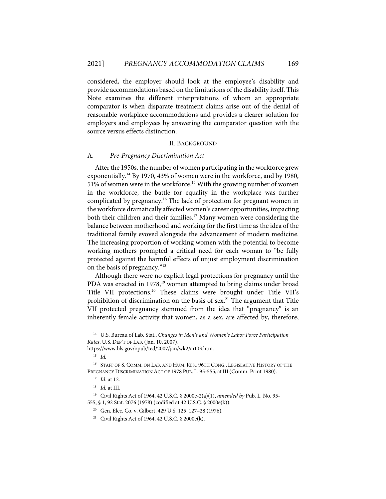considered, the employer should look at the employee's disability and provide accommodations based on the limitations of the disability itself. This Note examines the different interpretations of whom an appropriate comparator is when disparate treatment claims arise out of the denial of reasonable workplace accommodations and provides a clearer solution for employers and employees by answering the comparator question with the source versus effects distinction.

#### II. BACKGROUND

#### A. *Pre-Pregnancy Discrimination Act*

After the 1950s, the number of women participating in the workforce grew exponentially.<sup>14</sup> By 1970, 43% of women were in the workforce, and by 1980, 51% of women were in the workforce. <sup>15</sup> With the growing number of women in the workforce, the battle for equality in the workplace was further complicated by pregnancy.<sup>16</sup> The lack of protection for pregnant women in the workforce dramatically affected women's career opportunities, impacting both their children and their families.<sup>17</sup> Many women were considering the balance between motherhood and working for the first time as the idea of the traditional family evoved alongside the advancement of modern medicine. The increasing proportion of working women with the potential to become working mothers prompted a critical need for each woman to "be fully protected against the harmful effects of unjust employment discrimination on the basis of pregnancy."18

Although there were no explicit legal protections for pregnancy until the PDA was enacted in 1978,<sup>19</sup> women attempted to bring claims under broad Title VII protections.<sup>20</sup> These claims were brought under Title VII's prohibition of discrimination on the basis of sex.<sup>21</sup> The argument that Title VII protected pregnancy stemmed from the idea that "pregnancy" is an inherently female activity that women, as a sex, are affected by, therefore,

<sup>14</sup> U.S. Bureau of Lab. Stat., *Changes in Men's and Women's Labor Force Participation Rates*, U.S. DEP'T OF LAB.(Jan. 10, 2007),

https://www.bls.gov/opub/ted/2007/jan/wk2/art03.htm.

<sup>15</sup> *Id.*

<sup>&</sup>lt;sup>16</sup> STAFF OF S. COMM. ON LAB. AND HUM. RES., 96TH CONG., LEGISLATIVE HISTORY OF THE PREGNANCY DISCRIMINATION ACT OF 1978 PUB. L. 95-555, at III (Comm. Print 1980).

<sup>17</sup> *Id.* at 12.

<sup>18</sup> *Id.* at III.

<sup>19</sup> Civil Rights Act of 1964, 42 U.S.C. § 2000e-2(a)(1), *amended by* Pub. L. No. 95- 555, § 1, 92 Stat. 2076 (1978) (codified at 42 U.S.C. § 2000e(k)).

<sup>20</sup> Gen. Elec. Co. v. Gilbert, 429 U.S. 125, 127–28 (1976).

<sup>&</sup>lt;sup>21</sup> Civil Rights Act of 1964, 42 U.S.C. § 2000 $e(k)$ .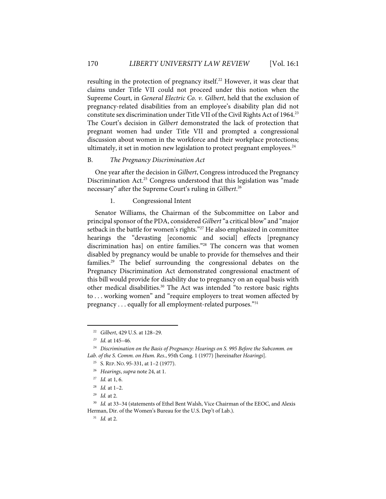resulting in the protection of pregnancy itself.<sup>22</sup> However, it was clear that claims under Title VII could not proceed under this notion when the Supreme Court, in *General Electric Co. v. Gilbert*, held that the exclusion of pregnancy-related disabilities from an employee's disability plan did not constitute sex discrimination under Title VII of the Civil Rights Act of 1964.<sup>23</sup> The Court's decision in *Gilbert* demonstrated the lack of protection that pregnant women had under Title VII and prompted a congressional discussion about women in the workforce and their workplace protections; ultimately, it set in motion new legislation to protect pregnant employees. $^{24}$ 

#### B. *The Pregnancy Discrimination Act*

One year after the decision in *Gilbert*, Congress introduced the Pregnancy Discrimination Act.<sup>25</sup> Congress understood that this legislation was "made necessary" after the Supreme Court's ruling in *Gilbert*. 26

1. Congressional Intent

Senator Williams, the Chairman of the Subcommittee on Labor and principal sponsor of the PDA, considered *Gilbert*"a critical blow" and "major setback in the battle for women's rights."27 He also emphasized in committee hearings the "devasting [economic and social] effects [pregnancy discrimination has] on entire families."<sup>28</sup> The concern was that women disabled by pregnancy would be unable to provide for themselves and their families.<sup>29</sup> The belief surrounding the congressional debates on the Pregnancy Discrimination Act demonstrated congressional enactment of this bill would provide for disability due to pregnancy on an equal basis with other medical disabilities.<sup>30</sup> The Act was intended "to restore basic rights to . . . working women" and "require employers to treat women affected by pregnancy . . . equally for all employment-related purposes."<sup>31</sup>

<sup>30</sup> Id. at 33-34 (statements of Ethel Bent Walsh, Vice Chairman of the EEOC, and Alexis Herman, Dir. of the Women's Bureau for the U.S. Dep't of Lab.).

31 *Id.* at 2.

<sup>22</sup> *Gilbert*, 429 U.S. at 128–29.

*<sup>23</sup> Id*. at 145–46.

<sup>24</sup> *Discrimination on the Basis of Pregnancy: Hearings on S. 995 Before the Subcomm. on Lab. of the S. Comm. on Hum. Res.*, 95th Cong. 1 (1977) [hereinafter *Hearings*].

<sup>25</sup> S. REP. NO. 95-331, at 1–2 (1977).

<sup>26</sup> *Hearings*, *supra* note 24, at 1.

<sup>27</sup> *Id.* at 1, 6.

<sup>28</sup> *Id.* at 1–2.

<sup>29</sup> *Id.* at 2.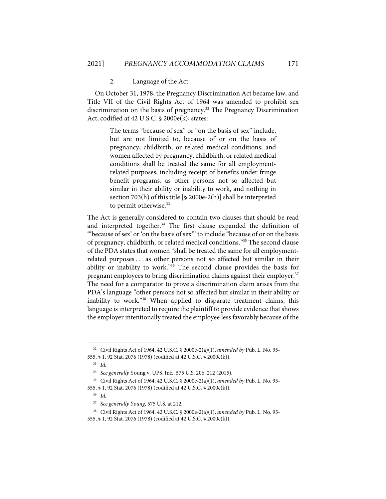#### 2. Language of the Act

On October 31, 1978, the Pregnancy Discrimination Act became law, and Title VII of the Civil Rights Act of 1964 was amended to prohibit sex discrimination on the basis of pregnancy.<sup>32</sup> The Pregnancy Discrimination Act, codified at 42 U.S.C. § 2000e(k), states:

> The terms "because of sex" or "on the basis of sex" include, but are not limited to, because of or on the basis of pregnancy, childbirth, or related medical conditions; and women affected by pregnancy, childbirth, or related medical conditions shall be treated the same for all employmentrelated purposes, including receipt of benefits under fringe benefit programs, as other persons not so affected but similar in their ability or inability to work, and nothing in section 703(h) of this title [§ 2000e-2(h)] shall be interpreted to permit otherwise.<sup>33</sup>

The Act is generally considered to contain two clauses that should be read and interpreted together.<sup>34</sup> The first clause expanded the definition of "'because of sex' or 'on the basis of sex'" to include "because of or on the basis of pregnancy, childbirth, or related medical conditions."35 The second clause of the PDA states that women "shall be treated the same for all employmentrelated purposes . . . as other persons not so affected but similar in their ability or inability to work."36 The second clause provides the basis for pregnant employees to bring discrimination claims against their employer.<sup>37</sup> The need for a comparator to prove a discrimination claim arises from the PDA's language "other persons not so affected but similar in their ability or inability to work."38 When applied to disparate treatment claims, this language is interpreted to require the plaintiff to provide evidence that shows the employer intentionally treated the employee less favorably because of the

<sup>32</sup> Civil Rights Act of 1964, 42 U.S.C. § 2000e-2(a)(1), *amended by* Pub. L. No. 95- 555, § 1, 92 Stat. 2076 (1978) (codified at 42 U.S.C. § 2000e(k)).

<sup>33</sup> *Id.*

<sup>34</sup> *See generally* Young v. UPS, Inc., 575 U.S. 206, 212 (2015).

<sup>35</sup> Civil Rights Act of 1964, 42 U.S.C. § 2000e-2(a)(1), *amended by* Pub. L. No. 95-

<sup>555,</sup> § 1, 92 Stat. 2076 (1978) (codified at 42 U.S.C. § 2000e(k)).

<sup>36</sup> *Id.*

<sup>37</sup> *See generally Young*, 575 U.S. at 212.

<sup>38</sup> Civil Rights Act of 1964, 42 U.S.C. § 2000e-2(a)(1), *amended by* Pub. L. No. 95-

<sup>555,</sup> § 1, 92 Stat. 2076 (1978) (codified at 42 U.S.C. § 2000e(k)).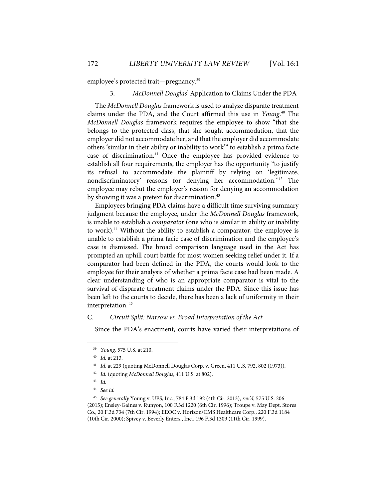employee's protected trait-pregnancy.<sup>39</sup>

# 3. *McDonnell Douglas*' Application to Claims Under the PDA

The *McDonnell Douglas* framework is used to analyze disparate treatment claims under the PDA, and the Court affirmed this use in *Young*. <sup>40</sup> The *McDonnell Douglas* framework requires the employee to show "that she belongs to the protected class, that she sought accommodation, that the employer did not accommodate her, and that the employer did accommodate others 'similar in their ability or inability to work'" to establish a prima facie case of discrimination.<sup>41</sup> Once the employee has provided evidence to establish all four requirements, the employer has the opportunity "to justify its refusal to accommodate the plaintiff by relying on 'legitimate, nondiscriminatory' reasons for denying her accommodation."42 The employee may rebut the employer's reason for denying an accommodation by showing it was a pretext for discrimination.<sup>43</sup>

Employees bringing PDA claims have a difficult time surviving summary judgment because the employee, under the *McDonnell Douglas* framework, is unable to establish a *comparator* (one who is similar in ability or inability to work).<sup>44</sup> Without the ability to establish a comparator, the employee is unable to establish a prima facie case of discrimination and the employee's case is dismissed. The broad comparison language used in the Act has prompted an uphill court battle for most women seeking relief under it. If a comparator had been defined in the PDA, the courts would look to the employee for their analysis of whether a prima facie case had been made. A clear understanding of who is an appropriate comparator is vital to the survival of disparate treatment claims under the PDA. Since this issue has been left to the courts to decide, there has been a lack of uniformity in their interpretation.<sup>45</sup>

#### C. *Circuit Split: Narrow vs. Broad Interpretation of the Act*

Since the PDA's enactment, courts have varied their interpretations of

<sup>39</sup> *Young*, 575 U.S. at 210.

<sup>40</sup> *Id.* at 213.

<sup>41</sup> *Id*. at 229 (quoting McDonnell Douglas Corp. v. Green, 411 U.S. 792, 802 (1973)).

<sup>42</sup> *Id.* (quoting *McDonnell Douglas*, 411 U.S. at 802).

<sup>43</sup> *Id.* 

<sup>44</sup> *See id.*

<sup>45</sup> *See generally* Young v. UPS, Inc., 784 F.3d 192 (4th Cir. 2013), *rev'd*, 575 U.S. 206 (2015); Ensley-Gaines v. Runyon, 100 F.3d 1220 (6th Cir. 1996); Troupe v. May Dept. Stores Co., 20 F.3d 734 (7th Cir. 1994); EEOC v. Horizon/CMS Healthcare Corp., 220 F.3d 1184 (10th Cir. 2000); Spivey v. Beverly Enters., Inc., 196 F.3d 1309 (11th Cir. 1999).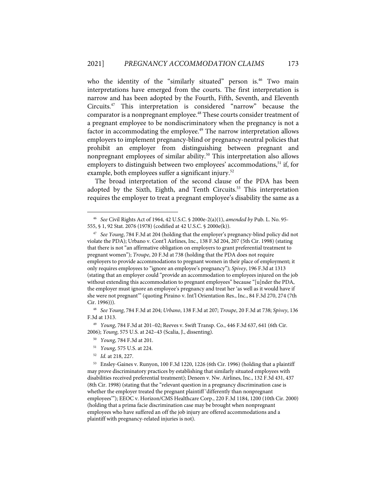who the identity of the "similarly situated" person is.<sup>46</sup> Two main interpretations have emerged from the courts. The first interpretation is narrow and has been adopted by the Fourth, Fifth, Seventh, and Eleventh Circuits. <sup>47</sup> This interpretation is considered "narrow" because the comparator is a nonpregnant employee.<sup>48</sup> These courts consider treatment of a pregnant employee to be nondiscriminatory when the pregnancy is not a factor in accommodating the employee.<sup>49</sup> The narrow interpretation allows employers to implement pregnancy-blind or pregnancy-neutral policies that prohibit an employer from distinguishing between pregnant and nonpregnant employees of similar ability.<sup>50</sup> This interpretation also allows employers to distinguish between two employees' accommodations, <sup>51</sup> if, for example, both employees suffer a significant injury.<sup>52</sup>

The broad interpretation of the second clause of the PDA has been adopted by the Sixth, Eighth, and Tenth Circuits. <sup>53</sup> This interpretation requires the employer to treat a pregnant employee's disability the same as a

<sup>48</sup> *See Young*, 784 F.3d at 204; *Urbano*, 138 F.3d at 207; *Troupe*, 20 F.3d at 738; *Spivey*, 136 F.3d at 1313.

49 *Young*, 784 F.3d at 201–02; Reeves v. Swift Transp. Co., 446 F.3d 637, 641 (6th Cir. 2006); *Young*, 575 U.S. at 242–43 (Scalia, J., dissenting).

52 *Id*. at 218, 227.

<sup>46</sup> *See* Civil Rights Act of 1964, 42 U.S.C. § 2000e-2(a)(1), *amended by* Pub. L. No. 95- 555, § 1, 92 Stat. 2076 (1978) (codified at 42 U.S.C. § 2000e(k)).

<sup>47</sup> *See Young*, 784 F.3d at 204 (holding that the employer's pregnancy-blind policy did not violate the PDA); Urbano v. Cont'l Airlines, Inc., 138 F.3d 204, 207 (5th Cir. 1998) (stating that there is not "an affirmative obligation on employers to grant preferential treatment to pregnant women"); *Troupe*, 20 F.3d at 738 (holding that the PDA does not require employers to provide accommodations to pregnant women in their place of employment; it only requires employees to "ignore an employee's pregnancy"); *Spivey*, 196 F.3d at 1313 (stating that an employer could "provide an accommodation to employees injured on the job without extending this accommodation to pregnant employees" because "[u]nder the PDA, the employer must ignore an employee's pregnancy and treat her 'as well as it would have if she were not pregnant'" (quoting Piraino v. Int'l Orientation Res., Inc., 84 F.3d 270, 274 (7th Cir. 1996))).

<sup>50</sup> *Young*, 784 F.3d at 201.

<sup>51</sup> *Young*, 575 U.S. at 224.

<sup>53</sup> Ensley-Gaines v. Runyon, 100 F.3d 1220, 1226 (6th Cir. 1996) (holding that a plaintiff may prove discriminatory practices by establishing that similarly situated employees with disabilities received preferential treatment); Deneen v. Nw. Airlines, Inc., 132 F.3d 431, 437 (8th Cir. 1998) (stating that the "relevant question in a pregnancy discrimination case is whether the employer treated the pregnant plaintiff 'differently than nonpregnant employees'"); EEOC v. Horizon/CMS Healthcare Corp., 220 F.3d 1184, 1200 (10th Cir. 2000) (holding that a prima facie discrimination case may be brought when nonpregnant employees who have suffered an off the job injury are offered accommodations and a plaintiff with pregnancy-related injuries is not).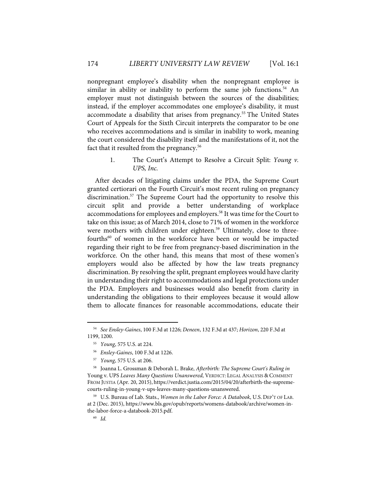nonpregnant employee's disability when the nonpregnant employee is similar in ability or inability to perform the same job functions.<sup>54</sup> An employer must not distinguish between the sources of the disabilities; instead, if the employer accommodates one employee's disability, it must accommodate a disability that arises from pregnancy.<sup>55</sup> The United States Court of Appeals for the Sixth Circuit interprets the comparator to be one who receives accommodations and is similar in inability to work, meaning the court considered the disability itself and the manifestations of it, not the fact that it resulted from the pregnancy.<sup>56</sup>

> 1. The Court's Attempt to Resolve a Circuit Split: *Young v. UPS, Inc.*

After decades of litigating claims under the PDA, the Supreme Court granted certiorari on the Fourth Circuit's most recent ruling on pregnancy discrimination.<sup>57</sup> The Supreme Court had the opportunity to resolve this circuit split and provide a better understanding of workplace accommodations for employees and employers.<sup>58</sup> It was time for the Court to take on this issue; as of March 2014, close to 71% of women in the workforce were mothers with children under eighteen. <sup>59</sup> Ultimately, close to threefourths<sup>60</sup> of women in the workforce have been or would be impacted regarding their right to be free from pregnancy-based discrimination in the workforce. On the other hand, this means that most of these women's employers would also be affected by how the law treats pregnancy discrimination. By resolving the split, pregnant employees would have clarity in understanding their right to accommodations and legal protections under the PDA. Employers and businesses would also benefit from clarity in understanding the obligations to their employees because it would allow them to allocate finances for reasonable accommodations, educate their

<sup>54</sup> *See Ensley-Gaines*, 100 F.3d at 1226; *Deneen*, 132 F.3d at 437; *Horizon*, 220 F.3d at 1199, 1200.

<sup>55</sup> *Young*, 575 U.S. at 224.

<sup>56</sup> *Ensley-Gaines*, 100 F.3d at 1226.

<sup>57</sup> *Young*, 575 U.S. at 206.

<sup>58</sup> Joanna L. Grossman & Deborah L. Brake, *Afterbirth: The Supreme Court's Ruling in*  Young v. UPS *Leaves Many Questions Unanswered*, VERDICT: LEGAL ANALYSIS & COMMENT FROM JUSTIA (Apr. 20, 2015), https://verdict.justia.com/2015/04/20/afterbirth-the-supremecourts-ruling-in-young-v-ups-leaves-many-questions-unanswered.

<sup>59</sup> U.S. Bureau of Lab. Stats., *Women in the Labor Force: A Databook*, U.S. DEP'T OF LAB. at 2 (Dec. 2015), https://www.bls.gov/opub/reports/womens-databook/archive/women-inthe-labor-force-a-databook-2015.pdf.

<sup>60</sup> *Id.*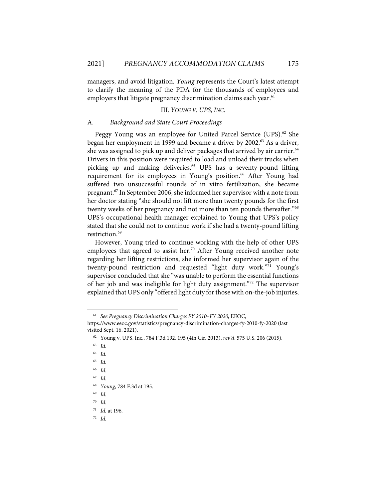managers, and avoid litigation. *Young* represents the Court's latest attempt to clarify the meaning of the PDA for the thousands of employees and employers that litigate pregnancy discrimination claims each year.<sup>61</sup>

#### III. *YOUNG V. UPS, INC*.

#### A. *Background and State Court Proceedings*

Peggy Young was an employee for United Parcel Service (UPS).<sup>62</sup> She began her employment in 1999 and became a driver by 2002.<sup>63</sup> As a driver, she was assigned to pick up and deliver packages that arrived by air carrier.<sup>64</sup> Drivers in this position were required to load and unload their trucks when picking up and making deliveries.<sup>65</sup> UPS has a seventy-pound lifting requirement for its employees in Young's position.<sup>66</sup> After Young had suffered two unsuccessful rounds of in vitro fertilization, she became pregnant.67 In September 2006, she informed her supervisor with a note from her doctor stating "she should not lift more than twenty pounds for the first twenty weeks of her pregnancy and not more than ten pounds thereafter."<sup>68</sup> UPS's occupational health manager explained to Young that UPS's policy stated that she could not to continue work if she had a twenty-pound lifting restriction.<sup>69</sup>

However, Young tried to continue working with the help of other UPS employees that agreed to assist her.<sup>70</sup> After Young received another note regarding her lifting restrictions, she informed her supervisor again of the twenty-pound restriction and requested "light duty work."71 Young's supervisor concluded that she "was unable to perform the essential functions of her job and was ineligible for light duty assignment."72 The supervisor explained that UPS only "offered light duty for those with on-the-job injuries,

<sup>61</sup> *See Pregnancy Discrimination Charges FY 2010–FY 2020*, EEOC,

https://www.eeoc.gov/statistics/pregnancy-discrimination-charges-fy-2010-fy-2020 (last visited Sept. 16, 2021).

<sup>62</sup> Young v. UPS, Inc., 784 F.3d 192, 195 (4th Cir. 2013), *rev'd*, 575 U.S. 206 (2015).

<sup>63</sup> *Id.*

<sup>64</sup> *Id.*

<sup>65</sup> *Id.*

<sup>66</sup> *Id.*

<sup>67</sup> *Id.*

<sup>68</sup> *Young*, 784 F.3d at 195.

<sup>69</sup> *Id.*

<sup>70</sup> *Id.*

<sup>71</sup> *Id.* at 196.

<sup>72</sup> *Id.*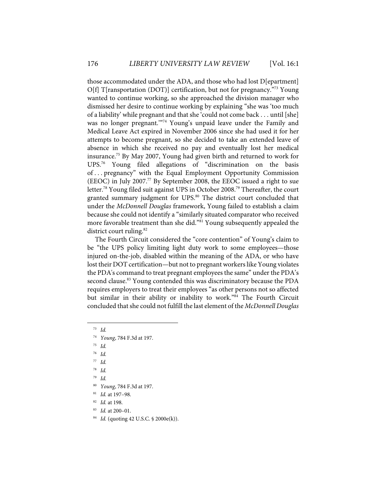those accommodated under the ADA, and those who had lost D[epartment] O[f] T[ransportation (DOT)] certification, but not for pregnancy."73 Young wanted to continue working, so she approached the division manager who dismissed her desire to continue working by explaining "she was 'too much of a liability' while pregnant and that she 'could not come back . . . until [she] was no longer pregnant."<sup>74</sup> Young's unpaid leave under the Family and Medical Leave Act expired in November 2006 since she had used it for her attempts to become pregnant, so she decided to take an extended leave of absence in which she received no pay and eventually lost her medical insurance.75 By May 2007, Young had given birth and returned to work for UPS.76 Young filed allegations of "discrimination on the basis of . . . pregnancy" with the Equal Employment Opportunity Commission (EEOC) in July 2007.77 By September 2008, the EEOC issued a right to sue letter.78 Young filed suit against UPS in October 2008.79 Thereafter, the court granted summary judgment for UPS.<sup>80</sup> The district court concluded that under the *McDonnell Douglas* framework, Young failed to establish a claim because she could not identify a "similarly situated comparator who received more favorable treatment than she did.<sup>"81</sup> Young subsequently appealed the district court ruling.<sup>82</sup>

The Fourth Circuit considered the "core contention" of Young's claim to be "the UPS policy limiting light duty work to some employees—those injured on-the-job, disabled within the meaning of the ADA, or who have lost their DOT certification—but not to pregnant workers like Young violates the PDA's command to treat pregnant employees the same" under the PDA's second clause.<sup>83</sup> Young contended this was discriminatory because the PDA requires employers to treat their employees "as other persons not so affected but similar in their ability or inability to work."84 The Fourth Circuit concluded that she could not fulfill the last element of the *McDonnell Douglas*

- 83 *Id.* at 200–01.
- 84 *Id.* (quoting 42 U.S.C. § 2000e(k)).

<sup>73</sup> *Id.*

<sup>74</sup> *Young*, 784 F.3d at 197.

<sup>75</sup> *Id.*

<sup>76</sup> *Id.*

<sup>77</sup> *Id.*

<sup>78</sup> *Id.*

<sup>79</sup> *Id.*

<sup>80</sup> *Young*, 784 F.3d at 197.

<sup>81</sup> *Id.* at 197–98.

<sup>82</sup> *Id.* at 198.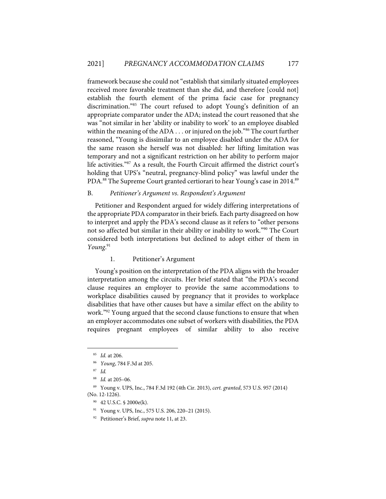framework because she could not "establish that similarly situated employees received more favorable treatment than she did, and therefore [could not] establish the fourth element of the prima facie case for pregnancy discrimination."85 The court refused to adopt Young's definition of an appropriate comparator under the ADA; instead the court reasoned that she was "not similar in her 'ability or inability to work' to an employee disabled within the meaning of the ADA  $\ldots$  or injured on the job."<sup>86</sup> The court further reasoned, "Young is dissimilar to an employee disabled under the ADA for the same reason she herself was not disabled: her lifting limitation was temporary and not a significant restriction on her ability to perform major life activities."87 As a result, the Fourth Circuit affirmed the district court's holding that UPS's "neutral, pregnancy-blind policy" was lawful under the PDA.<sup>88</sup> The Supreme Court granted certiorari to hear Young's case in 2014.<sup>89</sup>

#### B. *Petitioner's Argument vs. Respondent's Argument*

Petitioner and Respondent argued for widely differing interpretations of the appropriate PDA comparator in their briefs. Each party disagreed on how to interpret and apply the PDA's second clause as it refers to "other persons not so affected but similar in their ability or inability to work."<sup>90</sup> The Court considered both interpretations but declined to adopt either of them in *Young*. 91

#### 1. Petitioner's Argument

Young's position on the interpretation of the PDA aligns with the broader interpretation among the circuits. Her brief stated that "the PDA's second clause requires an employer to provide the same accommodations to workplace disabilities caused by pregnancy that it provides to workplace disabilities that have other causes but have a similar effect on the ability to work."92 Young argued that the second clause functions to ensure that when an employer accommodates one subset of workers with disabilities, the PDA requires pregnant employees of similar ability to also receive

<sup>85</sup> *Id.* at 206.

<sup>86</sup> *Young*, 784 F.3d at 205.

<sup>87</sup> *Id.*

<sup>88</sup> *Id.* at 205–06.

<sup>89</sup> Young v. UPS, Inc., 784 F.3d 192 (4th Cir. 2013), *cert. granted*, 573 U.S. 957 (2014) (No. 12-1226).

<sup>90 42</sup> U.S.C. § 2000e(k).

<sup>91</sup> Young v. UPS, Inc., 575 U.S. 206, 220–21 (2015).

<sup>92</sup> Petitioner's Brief, *supra* note 11, at 23.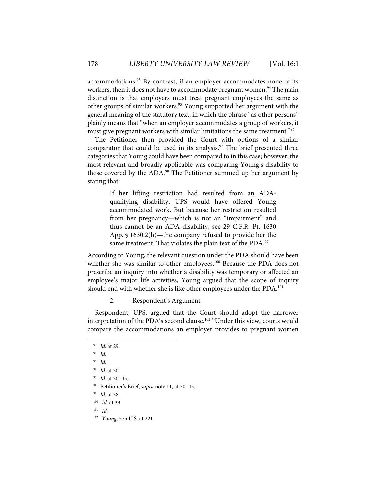accommodations.<sup>93</sup> By contrast, if an employer accommodates none of its workers, then it does not have to accommodate pregnant women.<sup>94</sup> The main distinction is that employers must treat pregnant employees the same as other groups of similar workers.95 Young supported her argument with the general meaning of the statutory text, in which the phrase "as other persons" plainly means that "when an employer accommodates a group of workers, it must give pregnant workers with similar limitations the same treatment."96

The Petitioner then provided the Court with options of a similar comparator that could be used in its analysis.<sup>97</sup> The brief presented three categories that Young could have been compared to in this case; however, the most relevant and broadly applicable was comparing Young's disability to those covered by the ADA.<sup>98</sup> The Petitioner summed up her argument by stating that:

> If her lifting restriction had resulted from an ADAqualifying disability, UPS would have offered Young accommodated work. But because her restriction resulted from her pregnancy—which is not an "impairment" and thus cannot be an ADA disability, see 29 C.F.R. Pt. 1630 App. § 1630.2(h)—the company refused to provide her the same treatment. That violates the plain text of the PDA.<sup>99</sup>

According to Young, the relevant question under the PDA should have been whether she was similar to other employees.<sup>100</sup> Because the PDA does not prescribe an inquiry into whether a disability was temporary or affected an employee's major life activities, Young argued that the scope of inquiry should end with whether she is like other employees under the PDA.<sup>101</sup>

2. Respondent's Argument

Respondent, UPS, argued that the Court should adopt the narrower interpretation of the PDA's second clause.<sup>102</sup> "Under this view, courts would compare the accommodations an employer provides to pregnant women

<sup>93</sup> *Id*. at 29.

<sup>94</sup> *Id*.

<sup>95</sup> *Id*.

<sup>96</sup> *Id*. at 30.

<sup>97</sup> *Id*. at 30–45.

<sup>98</sup> Petitioner's Brief, *supra* note 11, at 30–45.

<sup>99</sup> *Id.* at 38.

<sup>100</sup> *Id*. at 39.

<sup>101</sup> *Id.*

<sup>102</sup> *Young*, 575 U.S. at 221.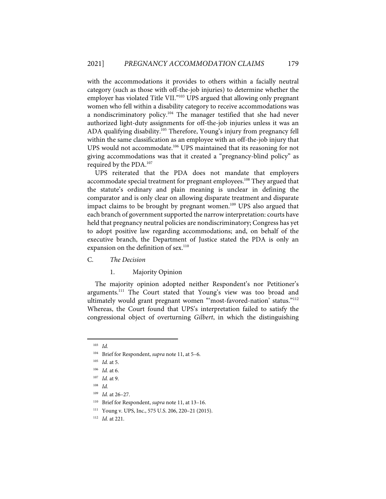with the accommodations it provides to others within a facially neutral category (such as those with off-the-job injuries) to determine whether the employer has violated Title VII."<sup>103</sup> UPS argued that allowing only pregnant women who fell within a disability category to receive accommodations was a nondiscriminatory policy.<sup>104</sup> The manager testified that she had never authorized light-duty assignments for off-the-job injuries unless it was an ADA qualifying disability.<sup>105</sup> Therefore, Young's injury from pregnancy fell within the same classification as an employee with an off-the-job injury that UPS would not accommodate.<sup>106</sup> UPS maintained that its reasoning for not giving accommodations was that it created a "pregnancy-blind policy" as required by the PDA.107

UPS reiterated that the PDA does not mandate that employers accommodate special treatment for pregnant employees.108 They argued that the statute's ordinary and plain meaning is unclear in defining the comparator and is only clear on allowing disparate treatment and disparate impact claims to be brought by pregnant women.<sup>109</sup> UPS also argued that each branch of government supported the narrow interpretation: courts have held that pregnancy neutral policies are nondiscriminatory; Congress has yet to adopt positive law regarding accommodations; and, on behalf of the executive branch, the Department of Justice stated the PDA is only an expansion on the definition of sex.<sup>110</sup>

- C. *The Decision*
	- 1. Majority Opinion

The majority opinion adopted neither Respondent's nor Petitioner's arguments.<sup>111</sup> The Court stated that Young's view was too broad and ultimately would grant pregnant women "'most-favored-nation' status."112 Whereas, the Court found that UPS's interpretation failed to satisfy the congressional object of overturning *Gilbert*, in which the distinguishing

<sup>103</sup> *Id.*

<sup>104</sup> Brief for Respondent, *supra* note 11, at 5–6.

<sup>105</sup> *Id.* at 5.

<sup>106</sup> *Id.* at 6.

<sup>107</sup> *Id.* at 9.

<sup>108</sup> *Id.*

<sup>109</sup> *Id.* at 26–27.

<sup>110</sup> Brief for Respondent, *supra* note 11, at 13–16.

<sup>111</sup> Young v. UPS, Inc., 575 U.S. 206, 220–21 (2015).

<sup>112</sup> *Id.* at 221.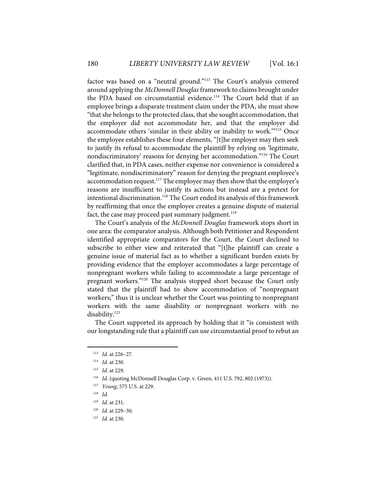factor was based on a "neutral ground."<sup>113</sup> The Court's analysis centered around applying the *McDonnell Douglas* framework to claims brought under the PDA based on circumstantial evidence.<sup>114</sup> The Court held that if an employee brings a disparate treatment claim under the PDA, she must show "that she belongs to the protected class, that she sought accommodation, that the employer did not accommodate her, and that the employer did accommodate others 'similar in their ability or inability to work.'"115 Once the employee establishes these four elements, "[t]he employer may then seek to justify its refusal to accommodate the plaintiff by relying on 'legitimate, nondiscriminatory' reasons for denying her accommodation."116 The Court clarified that, in PDA cases, neither expense nor convenience is considered a "legitimate, nondiscriminatory" reason for denying the pregnant employee's accommodation request.<sup>117</sup> The employee may then show that the employer's reasons are insufficient to justify its actions but instead are a pretext for intentional discrimination.<sup>118</sup> The Court ended its analysis of this framework by reaffirming that once the employee creates a genuine dispute of material fact, the case may proceed past summary judgment.<sup>119</sup>

The Court's analysis of the *McDonnell Douglas* framework stops short in one area: the comparator analysis. Although both Petitioner and Respondent identified appropriate comparators for the Court, the Court declined to subscribe to either view and reiterated that "[t]he plaintiff can create a genuine issue of material fact as to whether a significant burden exists by providing evidence that the employer accommodates a large percentage of nonpregnant workers while failing to accommodate a large percentage of pregnant workers."120 The analysis stopped short because the Court only stated that the plaintiff had to show accommodation of "nonpregnant workers;" thus it is unclear whether the Court was pointing to nonpregnant workers with the same disability or nonpregnant workers with no disability.<sup>121</sup>

The Court supported its approach by holding that it "is consistent with our longstanding rule that a plaintiff can use circumstantial proof to rebut an

<sup>113</sup> *Id.* at 226–27.

<sup>114</sup> *Id.* at 230.

<sup>115</sup> *Id.* at 229.

<sup>116</sup> *Id.* (quoting McDonnell Douglas Corp. v. Green, 411 U.S. 792, 802 (1973)).

<sup>117</sup> *Young*, 575 U.S. at 229.

<sup>118</sup> *Id.*

<sup>119</sup> *Id.* at 231.

<sup>120</sup> *Id.* at 229–30.

<sup>121</sup> *Id.* at 230.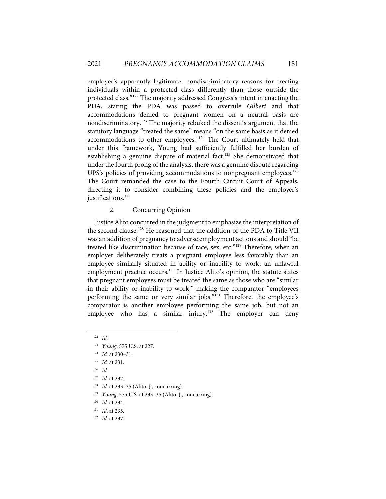employer's apparently legitimate, nondiscriminatory reasons for treating individuals within a protected class differently than those outside the protected class."122 The majority addressed Congress's intent in enacting the PDA, stating the PDA was passed to overrule *Gilbert* and that accommodations denied to pregnant women on a neutral basis are nondiscriminatory.<sup>123</sup> The majority rebuked the dissent's argument that the statutory language "treated the same" means "on the same basis as it denied accommodations to other employees."124 The Court ultimately held that under this framework, Young had sufficiently fulfilled her burden of establishing a genuine dispute of material fact.<sup>125</sup> She demonstrated that under the fourth prong of the analysis, there was a genuine dispute regarding UPS's policies of providing accommodations to nonpregnant employees.<sup>126</sup> The Court remanded the case to the Fourth Circuit Court of Appeals, directing it to consider combining these policies and the employer's justifications.<sup>127</sup>

2. Concurring Opinion

Justice Alito concurred in the judgment to emphasize the interpretation of the second clause.<sup>128</sup> He reasoned that the addition of the PDA to Title VII was an addition of pregnancy to adverse employment actions and should "be treated like discrimination because of race, sex, etc."<sup>129</sup> Therefore, when an employer deliberately treats a pregnant employee less favorably than an employee similarly situated in ability or inability to work, an unlawful employment practice occurs.<sup>130</sup> In Justice Alito's opinion, the statute states that pregnant employees must be treated the same as those who are "similar in their ability or inability to work," making the comparator "employees performing the same or very similar jobs."131 Therefore, the employee's comparator is another employee performing the same job, but not an employee who has a similar injury.<sup>132</sup> The employer can deny

129 *Young*, 575 U.S. at 233–35 (Alito, J., concurring).

<sup>122</sup> *Id.*

<sup>123</sup> *Young*, 575 U.S. at 227.

<sup>124</sup> *Id.* at 230–31.

<sup>125</sup> *Id.* at 231.

<sup>126</sup> *Id.* 

<sup>127</sup> *Id.* at 232.

<sup>128</sup> *Id.* at 233–35 (Alito, J., concurring).

<sup>130</sup> *Id.* at 234.

<sup>131</sup> *Id*. at 235.

<sup>132</sup> *Id.* at 237.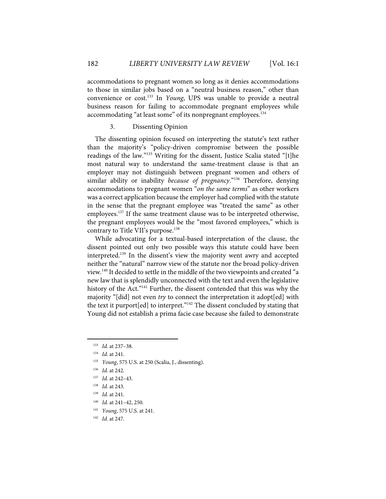accommodations to pregnant women so long as it denies accommodations to those in similar jobs based on a "neutral business reason," other than convenience or cost.133 In *Young*, UPS was unable to provide a neutral business reason for failing to accommodate pregnant employees while accommodating "at least some" of its nonpregnant employees.<sup>134</sup>

#### 3. Dissenting Opinion

The dissenting opinion focused on interpreting the statute's text rather than the majority's "policy-driven compromise between the possible readings of the law."135 Writing for the dissent, Justice Scalia stated "[t]he most natural way to understand the same-treatment clause is that an employer may not distinguish between pregnant women and others of similar ability or inability *because of pregnancy*."136 Therefore, denying accommodations to pregnant women "*on the same terms*" as other workers was a correct application because the employer had complied with the statute in the sense that the pregnant employee was "treated the same" as other employees.<sup>137</sup> If the same treatment clause was to be interpreted otherwise, the pregnant employees would be the "most favored employees," which is contrary to Title VII's purpose. 138

While advocating for a textual-based interpretation of the clause, the dissent pointed out only two possible ways this statute could have been interpreted.<sup>139</sup> In the dissent's view the majority went awry and accepted neither the "natural" narrow view of the statute nor the broad policy-driven view.140 It decided to settle in the middle of the two viewpoints and created "a new law that is splendidly unconnected with the text and even the legislative history of the Act."<sup>141</sup> Further, the dissent contended that this was why the majority "[did] not even *try* to connect the interpretation it adopt[ed] with the text it purport[ed] to interpret.<sup>"142</sup> The dissent concluded by stating that Young did not establish a prima facie case because she failed to demonstrate

<sup>133</sup> *Id.* at 237–38.

<sup>134</sup> *Id.* at 241.

<sup>135</sup> *Young*, 575 U.S. at 250 (Scalia, J., dissenting).

<sup>136</sup> *Id.* at 242.

<sup>137</sup> *Id.* at 242–43.

<sup>138</sup> *Id.* at 243.

<sup>139</sup> *Id.* at 241.

<sup>140</sup> *Id.* at 241–42, 250.

<sup>141</sup> *Young*, 575 U.S. at 241.

<sup>142</sup> *Id.* at 247.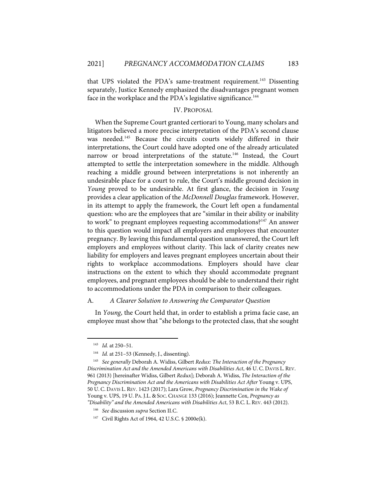that UPS violated the PDA's same-treatment requirement.<sup>143</sup> Dissenting separately, Justice Kennedy emphasized the disadvantages pregnant women face in the workplace and the PDA's legislative significance.<sup>144</sup>

#### IV. PROPOSAL

When the Supreme Court granted certiorari to Young, many scholars and litigators believed a more precise interpretation of the PDA's second clause was needed.<sup>145</sup> Because the circuits courts widely differed in their interpretations, the Court could have adopted one of the already articulated narrow or broad interpretations of the statute.<sup>146</sup> Instead, the Court attempted to settle the interpretation somewhere in the middle. Although reaching a middle ground between interpretations is not inherently an undesirable place for a court to rule, the Court's middle ground decision in *Young* proved to be undesirable. At first glance, the decision in *Young* provides a clear application of the *McDonnell Douglas* framework. However, in its attempt to apply the framework, the Court left open a fundamental question: who are the employees that are "similar in their ability or inability to work" to pregnant employees requesting accommodations?<sup>147</sup> An answer to this question would impact all employers and employees that encounter pregnancy. By leaving this fundamental question unanswered, the Court left employers and employees without clarity. This lack of clarity creates new liability for employers and leaves pregnant employees uncertain about their rights to workplace accommodations. Employers should have clear instructions on the extent to which they should accommodate pregnant employees, and pregnant employees should be able to understand their right to accommodations under the PDA in comparison to their colleagues.

#### A. *A Clearer Solution to Answering the Comparator Question*

In *Young*, the Court held that, in order to establish a prima facie case, an employee must show that "she belongs to the protected class, that she sought

<sup>143</sup> *Id.* at 250–51.

<sup>144</sup> *Id.* at 251–53 (Kennedy, J., dissenting).

<sup>145</sup> *See generally* Deborah A. Widiss, Gilbert *Redux: The Interaction of the Pregnancy Discrimination Act and the Amended Americans with Disabilities Act*, 46 U. C. DAVIS L. REV. 961 (2013) [hereinafter Widiss, Gilbert *Redux*]; Deborah A. Widiss, *The Interaction of the Pregnancy Discrimination Act and the Americans with Disabilities Act After* Young v. UPS, 50 U. C. DAVIS L. REV. 1423 (2017); Lara Grow, *Pregnancy Discrimination in the Wake of* Young v. UPS, 19 U. PA. J.L. & SOC. CHANGE 133 (2016); Jeannette Cox, *Pregnancy as "Disability" and the Amended Americans with Disabilities Act*, 53 B.C. L. REV. 443 (2012).

<sup>146</sup> *See* discussion *supra* Section II.C.

<sup>147</sup> Civil Rights Act of 1964, 42 U.S.C. § 2000e(k).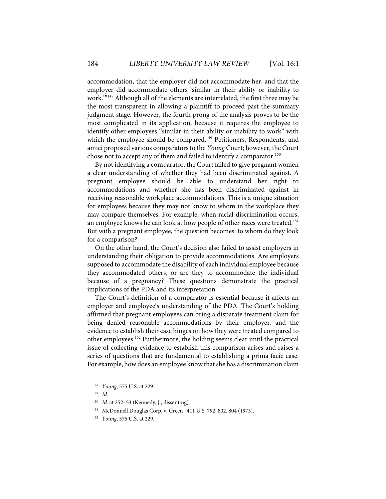accommodation, that the employer did not accommodate her, and that the employer did accommodate others 'similar in their ability or inability to work.'"148 Although all of the elements are interrelated, the first three may be the most transparent in allowing a plaintiff to proceed past the summary judgment stage. However, the fourth prong of the analysis proves to be the most complicated in its application, because it requires the employee to identify other employees "similar in their ability or inability to work" with which the employee should be compared.<sup>149</sup> Petitioners, Respondents, and amici proposed various comparators to the *Young* Court; however, the Court chose not to accept any of them and failed to identify a comparator.<sup>150</sup>

By not identifying a comparator, the Court failed to give pregnant women a clear understanding of whether they had been discriminated against. A pregnant employee should be able to understand her right to accommodations and whether she has been discriminated against in receiving reasonable workplace accommodations. This is a unique situation for employees because they may not know to whom in the workplace they may compare themselves. For example, when racial discrimination occurs, an employee knows he can look at how people of other races were treated. 151 But with a pregnant employee, the question becomes: to whom do they look for a comparison?

On the other hand, the Court's decision also failed to assist employers in understanding their obligation to provide accommodations. Are employers supposed to accommodate the disability of each individual employee because they accommodated others, or are they to accommodate the individual because of a pregnancy? These questions demonstrate the practical implications of the PDA and its interpretation.

The Court's definition of a comparator is essential because it affects an employer and employee's understanding of the PDA. The Court's holding affirmed that pregnant employees can bring a disparate treatment claim for being denied reasonable accommodations by their employer, and the evidence to establish their case hinges on how they were treated compared to other employees.<sup>152</sup> Furthermore, the holding seems clear until the practical issue of collecting evidence to establish this comparison arises and raises a series of questions that are fundamental to establishing a prima facie case. For example, how does an employee know that she has a discrimination claim

<sup>148</sup> *Young*, 575 U.S. at 229.

<sup>149</sup> *Id.*

<sup>150</sup> *Id.* at 252–53 (Kennedy, J., dissenting).

<sup>151</sup> McDonnell Douglas Corp. v. Green , 411 U.S. 792, 802, 804 (1973).

<sup>152</sup> *Young*, 575 U.S. at 229.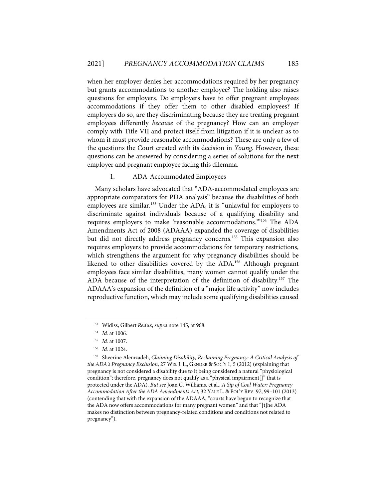when her employer denies her accommodations required by her pregnancy but grants accommodations to another employee? The holding also raises questions for employers. Do employers have to offer pregnant employees accommodations if they offer them to other disabled employees? If employers do so, are they discriminating because they are treating pregnant employees differently *because* of the pregnancy? How can an employer comply with Title VII and protect itself from litigation if it is unclear as to whom it must provide reasonable accommodations? These are only a few of the questions the Court created with its decision in *Young*. However, these questions can be answered by considering a series of solutions for the next employer and pregnant employee facing this dilemma.

# 1. ADA-Accommodated Employees

Many scholars have advocated that "ADA-accommodated employees are appropriate comparators for PDA analysis" because the disabilities of both employees are similar. <sup>153</sup> Under the ADA, it is "unlawful for employers to discriminate against individuals because of a qualifying disability and requires employers to make 'reasonable accommodations.'"154 The ADA Amendments Act of 2008 (ADAAA) expanded the coverage of disabilities but did not directly address pregnancy concerns.<sup>155</sup> This expansion also requires employers to provide accommodations for temporary restrictions, which strengthens the argument for why pregnancy disabilities should be likened to other disabilities covered by the ADA.156 Although pregnant employees face similar disabilities, many women cannot qualify under the ADA because of the interpretation of the definition of disability.<sup>157</sup> The ADAAA's expansion of the definition of a "major life activity" now includes reproductive function, which may include some qualifying disabilities caused

<sup>153</sup> Widiss, Gilbert *Redux*, *supra* note 145, at 968.

<sup>154</sup> *Id.* at 1006.

<sup>155</sup> *Id.* at 1007.

<sup>156</sup> *Id.* at 1024.

<sup>157</sup> Sheerine Alemzadeh, *Claiming Disability, Reclaiming Pregnancy: A Critical Analysis of the ADA's Pregnancy Exclusion*, 27 WIS. J. L., GENDER & SOC'Y 1, 5 (2012) (explaining that pregnancy is not considered a disability due to it being considered a natural "physiological condition"; therefore, pregnancy does not qualify as a "physical impairment[]" that is protected under the ADA). *But see* Joan C. Williams, et al., *A Sip of Cool Water: Pregnancy Accommodation After the ADA Amendments Act*, 32 YALE L. & POL'Y REV. 97, 99–101 (2013) (contending that with the expansion of the ADAAA, "courts have begun to recognize that the ADA now offers accommodations for many pregnant women" and that "[t]he ADA makes no distinction between pregnancy-related conditions and conditions not related to pregnancy").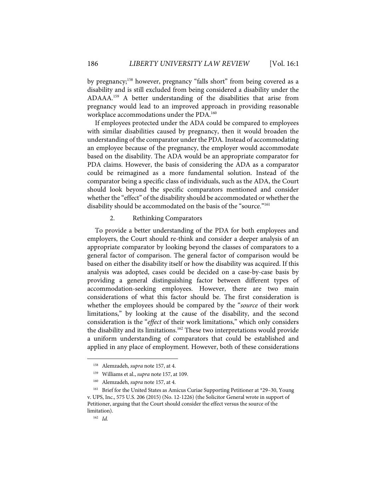by pregnancy;<sup>158</sup> however, pregnancy "falls short" from being covered as a disability and is still excluded from being considered a disability under the ADAAA.159 A better understanding of the disabilities that arise from pregnancy would lead to an improved approach in providing reasonable workplace accommodations under the PDA.<sup>160</sup>

If employees protected under the ADA could be compared to employees with similar disabilities caused by pregnancy, then it would broaden the understanding of the comparator under the PDA. Instead of accommodating an employee because of the pregnancy, the employer would accommodate based on the disability. The ADA would be an appropriate comparator for PDA claims. However, the basis of considering the ADA as a comparator could be reimagined as a more fundamental solution. Instead of the comparator being a specific class of individuals, such as the ADA, the Court should look beyond the specific comparators mentioned and consider whether the "effect" of the disability should be accommodated or whether the disability should be accommodated on the basis of the "source."<sup>161</sup>

#### 2. Rethinking Comparators

To provide a better understanding of the PDA for both employees and employers, the Court should re-think and consider a deeper analysis of an appropriate comparator by looking beyond the classes of comparators to a general factor of comparison. The general factor of comparison would be based on either the disability itself or how the disability was acquired. If this analysis was adopted, cases could be decided on a case-by-case basis by providing a general distinguishing factor between different types of accommodation-seeking employees. However, there are two main considerations of what this factor should be. The first consideration is whether the employees should be compared by the "*source* of their work limitations," by looking at the cause of the disability, and the second consideration is the "*effect* of their work limitations," which only considers the disability and its limitations.<sup>162</sup> These two interpretations would provide a uniform understanding of comparators that could be established and applied in any place of employment. However, both of these considerations

<sup>158</sup> Alemzadeh, *supra* note 157, at 4.

<sup>159</sup> Williams et al., *supra* note 157, at 109.

<sup>160</sup> Alemzadeh, *supra* note 157, at 4.

<sup>&</sup>lt;sup>161</sup> Brief for the United States as Amicus Curiae Supporting Petitioner at \*29-30, Young v. UPS, Inc., 575 U.S. 206 (2015) (No. 12-1226) (the Solicitor General wrote in support of Petitioner, arguing that the Court should consider the effect versus the source of the limitation).

<sup>162</sup> *Id.*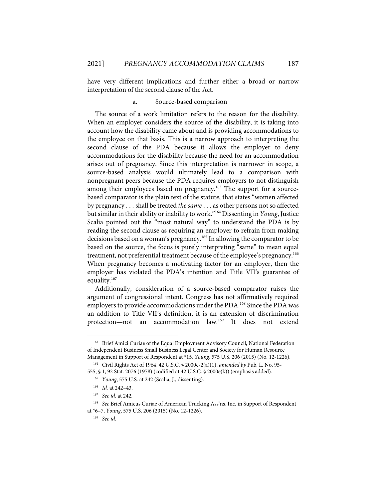have very different implications and further either a broad or narrow interpretation of the second clause of the Act.

#### a. Source-based comparison

The source of a work limitation refers to the reason for the disability. When an employer considers the source of the disability, it is taking into account how the disability came about and is providing accommodations to the employee on that basis. This is a narrow approach to interpreting the second clause of the PDA because it allows the employer to deny accommodations for the disability because the need for an accommodation arises out of pregnancy. Since this interpretation is narrower in scope, a source-based analysis would ultimately lead to a comparison with nonpregnant peers because the PDA requires employers to not distinguish among their employees based on pregnancy.<sup>163</sup> The support for a sourcebased comparator is the plain text of the statute, that states "women affected by pregnancy . . . shall be treated *the same* . . . as other persons not so affected but similar in their ability or inability to work."164 Dissenting in *Young*, Justice Scalia pointed out the "most natural way" to understand the PDA is by reading the second clause as requiring an employer to refrain from making decisions based on a woman's pregnancy.<sup>165</sup> In allowing the comparator to be based on the source, the focus is purely interpreting "same" to mean equal treatment, not preferential treatment because of the employee's pregnancy.<sup>166</sup> When pregnancy becomes a motivating factor for an employer, then the employer has violated the PDA's intention and Title VII's guarantee of equality.<sup>167</sup>

Additionally, consideration of a source-based comparator raises the argument of congressional intent. Congress has not affirmatively required employers to provide accommodations under the PDA.<sup>168</sup> Since the PDA was an addition to Title VII's definition, it is an extension of discrimination protection—not an accommodation law.<sup>169</sup> It does not extend

<sup>&</sup>lt;sup>163</sup> Brief Amici Curiae of the Equal Employment Advisory Council, National Federation of Independent Business Small Business Legal Center and Society for Human Resource Management in Support of Respondent at \*15, *Young*, 575 U.S. 206 (2015) (No. 12-1226).

<sup>164</sup> Civil Rights Act of 1964, 42 U.S.C. § 2000e-2(a)(1), *amended by* Pub. L. No. 95- 555, § 1, 92 Stat. 2076 (1978) (codified at 42 U.S.C. § 2000e(k)) (emphasis added).

<sup>165</sup> *Young*, 575 U.S. at 242 (Scalia, J., dissenting).

<sup>166</sup> *Id.* at 242–43.

<sup>167</sup> *See id.* at 242.

<sup>168</sup> *See* Brief Amicus Curiae of American Trucking Ass'ns, Inc. in Support of Respondent at \*6–7, *Young*, 575 U.S. 206 (2015) (No. 12-1226).

<sup>169</sup> *See id.*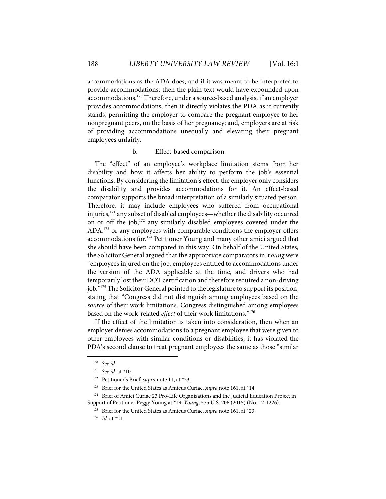accommodations as the ADA does, and if it was meant to be interpreted to provide accommodations, then the plain text would have expounded upon accommodations.170 Therefore, under a source-based analysis, if an employer provides accommodations, then it directly violates the PDA as it currently stands, permitting the employer to compare the pregnant employee to her nonpregnant peers, on the basis of her pregnancy; and, employers are at risk of providing accommodations unequally and elevating their pregnant employees unfairly.

#### b. Effect-based comparison

The "effect" of an employee's workplace limitation stems from her disability and how it affects her ability to perform the job's essential functions. By considering the limitation's effect, the employer only considers the disability and provides accommodations for it. An effect-based comparator supports the broad interpretation of a similarly situated person. Therefore, it may include employees who suffered from occupational injuries,<sup>171</sup> any subset of disabled employees—whether the disability occurred on or off the job,<sup>172</sup> any similarly disabled employees covered under the  $ADA<sub>1</sub><sup>173</sup>$  or any employees with comparable conditions the employer offers accommodations for.<sup>174</sup> Petitioner Young and many other amici argued that she should have been compared in this way. On behalf of the United States, the Solicitor General argued that the appropriate comparators in *Young* were "employees injured on the job, employees entitled to accommodations under the version of the ADA applicable at the time, and drivers who had temporarily lost their DOT certification and therefore required a non-driving job."175 The Solicitor General pointed to the legislature to support its position, stating that "Congress did not distinguish among employees based on the *source* of their work limitations. Congress distinguished among employees based on the work-related *effect* of their work limitations."176

If the effect of the limitation is taken into consideration, then when an employer denies accommodations to a pregnant employee that were given to other employees with similar conditions or disabilities, it has violated the PDA's second clause to treat pregnant employees the same as those "similar

<sup>170</sup> *See id.*

<sup>171</sup> *See id.* at \*10.

<sup>172</sup> Petitioner's Brief, *supra* note 11, at \*23.

<sup>&</sup>lt;sup>173</sup> Brief for the United States as Amicus Curiae, *supra* note 161, at \*14.

<sup>&</sup>lt;sup>174</sup> Brief of Amici Curiae 23 Pro-Life Organizations and the Judicial Education Project in Support of Petitioner Peggy Young at \*19, *Young*, 575 U.S. 206 (2015) (No. 12-1226).

<sup>&</sup>lt;sup>175</sup> Brief for the United States as Amicus Curiae, *supra* note 161, at \*23.

<sup>176</sup> *Id.* at \*21.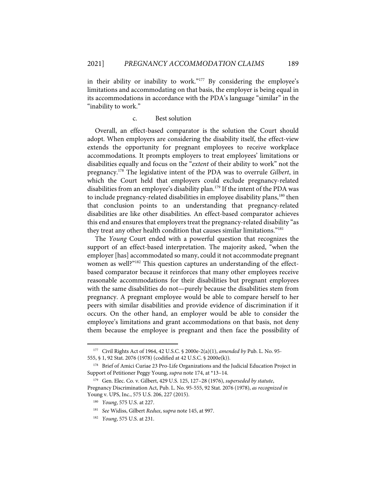in their ability or inability to work."177 By considering the employee's limitations and accommodating on that basis, the employer is being equal in its accommodations in accordance with the PDA's language "similar" in the "inability to work."

#### c. Best solution

Overall, an effect-based comparator is the solution the Court should adopt. When employers are considering the disability itself, the effect-view extends the opportunity for pregnant employees to receive workplace accommodations. It prompts employers to treat employees' limitations or disabilities equally and focus on the "*extent* of their ability to work" not the pregnancy.178 The legislative intent of the PDA was to overrule *Gilbert*, in which the Court held that employers could exclude pregnancy-related disabilities from an employee's disability plan.<sup>179</sup> If the intent of the PDA was to include pregnancy-related disabilities in employee disability plans,<sup>180</sup> then that conclusion points to an understanding that pregnancy-related disabilities are like other disabilities. An effect-based comparator achieves this end and ensures that employers treat the pregnancy-related disability "as they treat any other health condition that causes similar limitations."<sup>181</sup>

The *Young* Court ended with a powerful question that recognizes the support of an effect-based interpretation. The majority asked, "when the employer [has] accommodated so many, could it not accommodate pregnant women as well?"<sup>182</sup> This question captures an understanding of the effectbased comparator because it reinforces that many other employees receive reasonable accommodations for their disabilities but pregnant employees with the same disabilities do not—purely because the disabilities stem from pregnancy. A pregnant employee would be able to compare herself to her peers with similar disabilities and provide evidence of discrimination if it occurs. On the other hand, an employer would be able to consider the employee's limitations and grant accommodations on that basis, not deny them because the employee is pregnant and then face the possibility of

<sup>177</sup> Civil Rights Act of 1964, 42 U.S.C. § 2000e-2(a)(1), *amended by* Pub. L. No. 95- 555, § 1, 92 Stat. 2076 (1978) (codified at 42 U.S.C. § 2000e(k)).

<sup>178</sup> Brief of Amici Curiae 23 Pro-Life Organizations and the Judicial Education Project in Support of Petitioner Peggy Young, *supra* note 174, at \*13–14.

<sup>179</sup> Gen. Elec. Co. v. Gilbert, 429 U.S. 125, 127–28 (1976), *superseded by statute*, Pregnancy Discrimination Act, Pub. L. No. 95-555, 92 Stat. 2076 (1978), *as recognized in*  Young v. UPS, Inc., 575 U.S. 206, 227 (2015).

<sup>180</sup> *Young*, 575 U.S. at 227.

<sup>181</sup> *See* Widiss, Gilbert *Redux*, s*upra* note 145, at 997.

<sup>182</sup> *Young*, 575 U.S. at 231.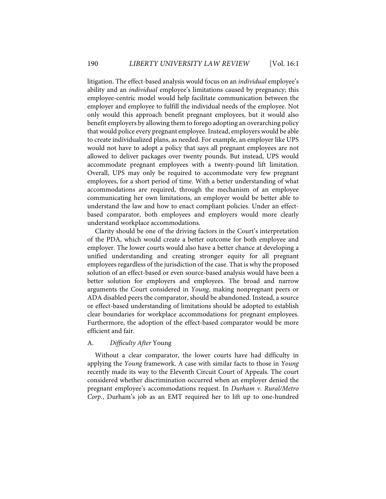litigation. The effect-based analysis would focus on an *individual* employee's ability and an *individual* employee's limitations caused by pregnancy; this employee-centric model would help facilitate communication between the employer and employee to fulfill the individual needs of the employee. Not only would this approach benefit pregnant employees, but it would also benefit employers by allowing them to forego adopting an overarching policy that would police every pregnant employee. Instead, employers would be able to create individualized plans, as needed. For example, an employer like UPS would not have to adopt a policy that says all pregnant employees are not allowed to deliver packages over twenty pounds. But instead, UPS would accommodate pregnant employees with a twenty-pound lift limitation. Overall, UPS may only be required to accommodate very few pregnant employees, for a short period of time. With a better understanding of what accommodations are required, through the mechanism of an employee communicating her own limitations, an employer would be better able to understand the law and how to enact compliant policies. Under an effectbased comparator, both employees and employers would more clearly understand workplace accommodations.

Clarity should be one of the driving factors in the Court's interpretation of the PDA, which would create a better outcome for both employee and employer. The lower courts would also have a better chance at developing a unified understanding and creating stronger equity for all pregnant employees regardless of the jurisdiction of the case. That is why the proposed solution of an effect-based or even source-based analysis would have been a better solution for employers and employees. The broad and narrow arguments the Court considered in *Young*, making nonpregnant peers or ADA disabled peers the comparator, should be abandoned. Instead, a source or effect-based understanding of limitations should be adopted to establish clear boundaries for workplace accommodations for pregnant employees. Furthermore, the adoption of the effect-based comparator would be more efficient and fair.

### A. *Difficulty After* Young

Without a clear comparator, the lower courts have had difficulty in applying the *Young* framework. A case with similar facts to those in *Young* recently made its way to the Eleventh Circuit Court of Appeals. The court considered whether discrimination occurred when an employer denied the pregnant employee's accommodations request. In *Durham v. Rural/Metro Corp.*, Durham's job as an EMT required her to lift up to one-hundred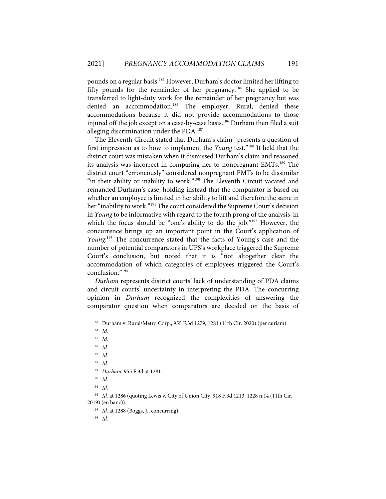pounds on a regular basis.183 However, Durham's doctor limited her lifting to fifty pounds for the remainder of her pregnancy.184 She applied to be transferred to light-duty work for the remainder of her pregnancy but was denied an accommodation.<sup>185</sup> The employer, Rural, denied these accommodations because it did not provide accommodations to those injured off the job except on a case-by-case basis.<sup>186</sup> Durham then filed a suit alleging discrimination under the PDA.<sup>187</sup>

The Eleventh Circuit stated that Durham's claim "presents a question of first impression as to how to implement the *Young* test."188 It held that the district court was mistaken when it dismissed Durham's claim and reasoned its analysis was incorrect in comparing her to nonpregnant EMTs.<sup>189</sup> The district court "erroneously" considered nonpregnant EMTs to be dissimilar "in their ability or inability to work."<sup>190</sup> The Eleventh Circuit vacated and remanded Durham's case, holding instead that the comparator is based on whether an employee is limited in her ability to lift and therefore the same in her "inability to work."<sup>191</sup> The court considered the Supreme Court's decision in *Young* to be informative with regard to the fourth prong of the analysis, in which the focus should be "one's ability to do the job."192 However, the concurrence brings up an important point in the Court's application of *Young*. <sup>193</sup> The concurrence stated that the facts of Young's case and the number of potential comparators in UPS's workplace triggered the Supreme Court's conclusion, but noted that it is "not altogether clear the accommodation of which categories of employees triggered the Court's conclusion."194

*Durham* represents district courts' lack of understanding of PDA claims and circuit courts' uncertainty in interpreting the PDA. The concurring opinion in *Durham* recognized the complexities of answering the comparator question when comparators are decided on the basis of

186 *Id.*

187 *Id.*

188 *Id.*

191 *Id.*

<sup>183</sup> Durham v. Rural/Metro Corp., 955 F.3d 1279, 1281 (11th Cir. 2020) (per curiam).

<sup>184</sup> *Id.* 

<sup>185</sup> *Id.* 

<sup>189</sup> *Durham*, 955 F.3d at 1281.

<sup>190</sup> *Id.*

<sup>192</sup> *Id.* at 1286 (quoting Lewis v. City of Union City, 918 F.3d 1213, 1228 n.14 (11th Cir.

<sup>2019)</sup> (en banc)).

<sup>193</sup> *Id.* at 1288 (Boggs, J., concurring).

<sup>194</sup> *Id.*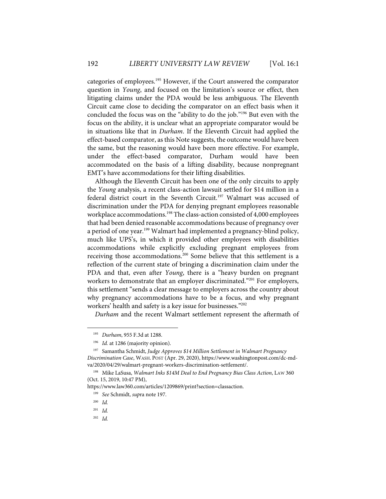categories of employees.195 However, if the Court answered the comparator question in *Young*, and focused on the limitation's source or effect, then litigating claims under the PDA would be less ambiguous. The Eleventh Circuit came close to deciding the comparator on an effect basis when it concluded the focus was on the "ability to do the job."196 But even with the focus on the ability, it is unclear what an appropriate comparator would be in situations like that in *Durham*. If the Eleventh Circuit had applied the effect-based comparator, as this Note suggests, the outcome would have been the same, but the reasoning would have been more effective. For example, under the effect-based comparator, Durham would have been accommodated on the basis of a lifting disability, because nonpregnant EMT's have accommodations for their lifting disabilities.

Although the Eleventh Circuit has been one of the only circuits to apply the *Young* analysis, a recent class-action lawsuit settled for \$14 million in a federal district court in the Seventh Circuit.<sup>197</sup> Walmart was accused of discrimination under the PDA for denying pregnant employees reasonable workplace accommodations.<sup>198</sup> The class-action consisted of 4,000 employees that had been denied reasonable accommodations because of pregnancy over a period of one year.<sup>199</sup> Walmart had implemented a pregnancy-blind policy, much like UPS's, in which it provided other employees with disabilities accommodations while explicitly excluding pregnant employees from receiving those accommodations.<sup>200</sup> Some believe that this settlement is a reflection of the current state of bringing a discrimination claim under the PDA and that, even after *Young*, there is a "heavy burden on pregnant workers to demonstrate that an employer discriminated."<sup>201</sup> For employers, this settlement "sends a clear message to employers across the country about why pregnancy accommodations have to be a focus, and why pregnant workers' health and safety is a key issue for businesses."202

*Durham* and the recent Walmart settlement represent the aftermath of

202 *Id.* 

<sup>195</sup> *Durham*, 955 F.3d at 1288.

<sup>&</sup>lt;sup>196</sup> *Id.* at 1286 (majority opinion).

<sup>197</sup> Samantha Schmidt, *Judge Approves \$14 Million Settlement in Walmart Pregnancy Discrimination Case*, WASH. POST (Apr. 29, 2020), https://www.washingtonpost.com/dc-mdva/2020/04/29/walmart-pregnant-workers-discrimination-settlement/.

<sup>198</sup> Mike LaSusa, *Walmart Inks \$14M Deal to End Pregnancy Bias Class Action*, LAW 360 (Oct. 15, 2019, 10:47 PM),

https://www.law360.com/articles/1209869/print?section=classaction.

<sup>199</sup> *See* Schmidt, *sup*ra note 197.

<sup>200</sup> *Id.*

<sup>201</sup> *Id.*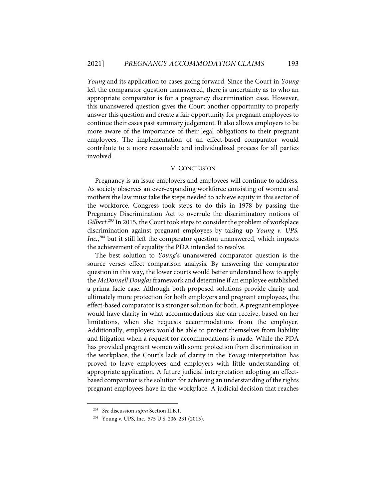*Young* and its application to cases going forward. Since the Court in *Young* left the comparator question unanswered, there is uncertainty as to who an appropriate comparator is for a pregnancy discrimination case. However, this unanswered question gives the Court another opportunity to properly answer this question and create a fair opportunity for pregnant employees to continue their cases past summary judgement. It also allows employers to be more aware of the importance of their legal obligations to their pregnant employees. The implementation of an effect-based comparator would contribute to a more reasonable and individualized process for all parties involved.

#### V. CONCLUSION

Pregnancy is an issue employers and employees will continue to address. As society observes an ever-expanding workforce consisting of women and mothers the law must take the steps needed to achieve equity in this sector of the workforce. Congress took steps to do this in 1978 by passing the Pregnancy Discrimination Act to overrule the discriminatory notions of *Gilbert*. <sup>203</sup> In 2015, the Court took steps to consider the problem of workplace discrimination against pregnant employees by taking up *Young v. UPS, Inc.*, <sup>204</sup> but it still left the comparator question unanswered, which impacts the achievement of equality the PDA intended to resolve.

The best solution to *Young*'s unanswered comparator question is the source verses effect comparison analysis. By answering the comparator question in this way, the lower courts would better understand how to apply the *McDonnell Douglas* framework and determine if an employee established a prima facie case. Although both proposed solutions provide clarity and ultimately more protection for both employers and pregnant employees, the effect-based comparator is a stronger solution for both. A pregnant employee would have clarity in what accommodations she can receive, based on her limitations, when she requests accommodations from the employer. Additionally, employers would be able to protect themselves from liability and litigation when a request for accommodations is made. While the PDA has provided pregnant women with some protection from discrimination in the workplace, the Court's lack of clarity in the *Young* interpretation has proved to leave employees and employers with little understanding of appropriate application. A future judicial interpretation adopting an effectbased comparator is the solution for achieving an understanding of the rights pregnant employees have in the workplace. A judicial decision that reaches

<sup>203</sup> *See* discussion *supra* Section II.B.1.

<sup>&</sup>lt;sup>204</sup> Young v. UPS, Inc., 575 U.S. 206, 231 (2015).